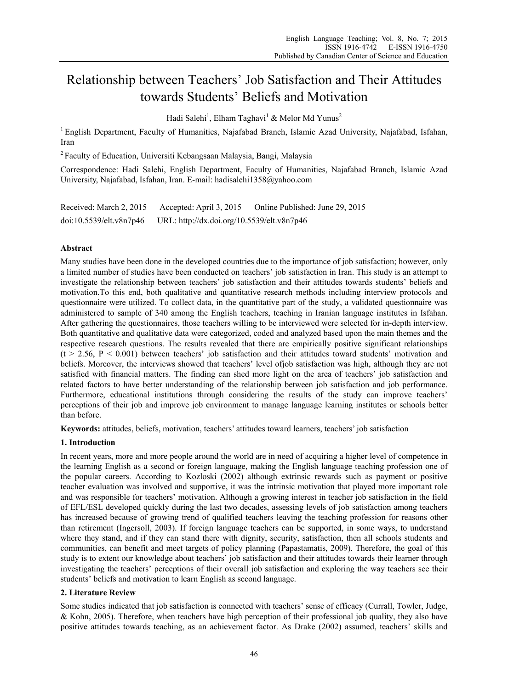# Relationship between Teachers' Job Satisfaction and Their Attitudes towards Students' Beliefs and Motivation

Hadi Salehi<sup>1</sup>, Elham Taghavi<sup>1</sup> & Melor Md Yunus<sup>2</sup>

1 English Department, Faculty of Humanities, Najafabad Branch, Islamic Azad University, Najafabad, Isfahan, Iran

2 Faculty of Education, Universiti Kebangsaan Malaysia, Bangi, Malaysia

Correspondence: Hadi Salehi, English Department, Faculty of Humanities, Najafabad Branch, Islamic Azad University, Najafabad, Isfahan, Iran. E-mail: hadisalehi1358@yahoo.com

Received: March 2, 2015 Accepted: April 3, 2015 Online Published: June 29, 2015 doi:10.5539/elt.v8n7p46 URL: http://dx.doi.org/10.5539/elt.v8n7p46

# **Abstract**

Many studies have been done in the developed countries due to the importance of job satisfaction; however, only a limited number of studies have been conducted on teachers' job satisfaction in Iran. This study is an attempt to investigate the relationship between teachers' job satisfaction and their attitudes towards students' beliefs and motivation.To this end, both qualitative and quantitative research methods including interview protocols and questionnaire were utilized. To collect data, in the quantitative part of the study, a validated questionnaire was administered to sample of 340 among the English teachers, teaching in Iranian language institutes in Isfahan. After gathering the questionnaires, those teachers willing to be interviewed were selected for in-depth interview. Both quantitative and qualitative data were categorized, coded and analyzed based upon the main themes and the respective research questions. The results revealed that there are empirically positive significant relationships  $(t > 2.56, P < 0.001)$  between teachers' job satisfaction and their attitudes toward students' motivation and beliefs. Moreover, the interviews showed that teachers' level ofjob satisfaction was high, although they are not satisfied with financial matters. The finding can shed more light on the area of teachers' job satisfaction and related factors to have better understanding of the relationship between job satisfaction and job performance. Furthermore, educational institutions through considering the results of the study can improve teachers' perceptions of their job and improve job environment to manage language learning institutes or schools better than before.

**Keywords:** attitudes, beliefs, motivation, teachers' attitudes toward learners, teachers' job satisfaction

# **1. Introduction**

In recent years, more and more people around the world are in need of acquiring a higher level of competence in the learning English as a second or foreign language, making the English language teaching profession one of the popular careers. According to Kozloski (2002) although extrinsic rewards such as payment or positive teacher evaluation was involved and supportive, it was the intrinsic motivation that played more important role and was responsible for teachers' motivation. Although a growing interest in teacher job satisfaction in the field of EFL/ESL developed quickly during the last two decades, assessing levels of job satisfaction among teachers has increased because of growing trend of qualified teachers leaving the teaching profession for reasons other than retirement (Ingersoll, 2003). If foreign language teachers can be supported, in some ways, to understand where they stand, and if they can stand there with dignity, security, satisfaction, then all schools students and communities, can benefit and meet targets of policy planning (Papastamatis, 2009). Therefore, the goal of this study is to extent our knowledge about teachers' job satisfaction and their attitudes towards their learner through investigating the teachers' perceptions of their overall job satisfaction and exploring the way teachers see their students' beliefs and motivation to learn English as second language.

# **2. Literature Review**

Some studies indicated that job satisfaction is connected with teachers' sense of efficacy (Currall, Towler, Judge, & Kohn, 2005). Therefore, when teachers have high perception of their professional job quality, they also have positive attitudes towards teaching, as an achievement factor. As Drake (2002) assumed, teachers' skills and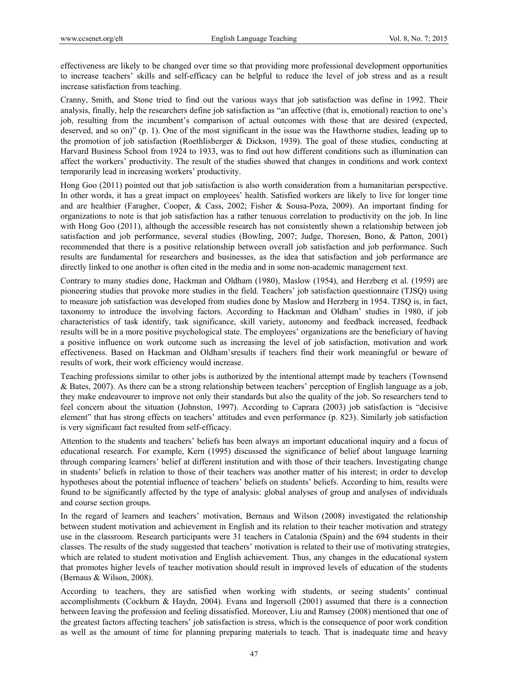effectiveness are likely to be changed over time so that providing more professional development opportunities to increase teachers' skills and self-efficacy can be helpful to reduce the level of job stress and as a result increase satisfaction from teaching.

Cranny, Smith, and Stone tried to find out the various ways that job satisfaction was define in 1992. Their analysis, finally, help the researchers define job satisfaction as "an affective (that is, emotional) reaction to one's job, resulting from the incumbent's comparison of actual outcomes with those that are desired (expected, deserved, and so on)" (p. 1). One of the most significant in the issue was the Hawthorne studies, leading up to the promotion of job satisfaction (Roethlisberger & Dickson, 1939). The goal of these studies, conducting at Harvard Business School from 1924 to 1933, was to find out how different conditions such as illumination can affect the workers' productivity. The result of the studies showed that changes in conditions and work context temporarily lead in increasing workers' productivity.

Hong Goo (2011) pointed out that job satisfaction is also worth consideration from a humanitarian perspective. In other words, it has a great impact on employees' health. Satisfied workers are likely to live for longer time and are healthier (Faragher, Cooper, & Cass, 2002; Fisher & Sousa-Poza, 2009). An important finding for organizations to note is that job satisfaction has a rather tenuous correlation to productivity on the job. In line with Hong Goo (2011), although the accessible research has not consistently shown a relationship between job satisfaction and job performance, several studies (Bowling, 2007; Judge, Thoresen, Bono, & Patton, 2001) recommended that there is a positive relationship between overall job satisfaction and job performance. Such results are fundamental for researchers and businesses, as the idea that satisfaction and job performance are directly linked to one another is often cited in the media and in some non-academic management text.

Contrary to many studies done, Hackman and Oldham (1980), Maslow (1954), and Herzberg et al. (1959) are pioneering studies that provoke more studies in the field. Teachers' job satisfaction questionnaire (TJSQ) using to measure job satisfaction was developed from studies done by Maslow and Herzberg in 1954. TJSQ is, in fact, taxonomy to introduce the involving factors. According to Hackman and Oldham' studies in 1980, if job characteristics of task identify, task significance, skill variety, autonomy and feedback increased, feedback results will be in a more positive psychological state. The employees' organizations are the beneficiary of having a positive influence on work outcome such as increasing the level of job satisfaction, motivation and work effectiveness. Based on Hackman and Oldham'sresults if teachers find their work meaningful or beware of results of work, their work efficiency would increase.

Teaching professions similar to other jobs is authorized by the intentional attempt made by teachers (Townsend & Bates, 2007). As there can be a strong relationship between teachers' perception of English language as a job, they make endeavourer to improve not only their standards but also the quality of the job. So researchers tend to feel concern about the situation (Johnston, 1997). According to Caprara (2003) job satisfaction is "decisive element" that has strong effects on teachers' attitudes and even performance (p. 823). Similarly job satisfaction is very significant fact resulted from self-efficacy.

Attention to the students and teachers' beliefs has been always an important educational inquiry and a focus of educational research. For example, Kern (1995) discussed the significance of belief about language learning through comparing learners' belief at different institution and with those of their teachers. Investigating change in students' beliefs in relation to those of their teachers was another matter of his interest; in order to develop hypotheses about the potential influence of teachers' beliefs on students' beliefs. According to him, results were found to be significantly affected by the type of analysis: global analyses of group and analyses of individuals and course section groups.

In the regard of learners and teachers' motivation, Bernaus and Wilson (2008) investigated the relationship between student motivation and achievement in English and its relation to their teacher motivation and strategy use in the classroom. Research participants were 31 teachers in Catalonia (Spain) and the 694 students in their classes. The results of the study suggested that teachers' motivation is related to their use of motivating strategies, which are related to student motivation and English achievement. Thus, any changes in the educational system that promotes higher levels of teacher motivation should result in improved levels of education of the students (Bernaus & Wilson, 2008).

According to teachers, they are satisfied when working with students, or seeing students' continual accomplishments (Cockburn & Haydn, 2004). Evans and Ingersoll (2001) assumed that there is a connection between leaving the profession and feeling dissatisfied. Moreover, Liu and Ramsey (2008) mentioned that one of the greatest factors affecting teachers' job satisfaction is stress, which is the consequence of poor work condition as well as the amount of time for planning preparing materials to teach. That is inadequate time and heavy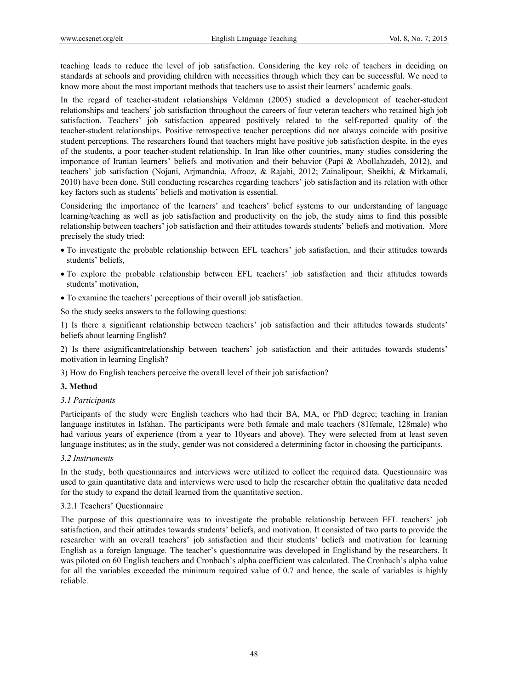teaching leads to reduce the level of job satisfaction. Considering the key role of teachers in deciding on standards at schools and providing children with necessities through which they can be successful. We need to know more about the most important methods that teachers use to assist their learners' academic goals.

In the regard of teacher-student relationships Veldman (2005) studied a development of teacher-student relationships and teachers' job satisfaction throughout the careers of four veteran teachers who retained high job satisfaction. Teachers' job satisfaction appeared positively related to the self-reported quality of the teacher-student relationships. Positive retrospective teacher perceptions did not always coincide with positive student perceptions. The researchers found that teachers might have positive job satisfaction despite, in the eyes of the students, a poor teacher-student relationship. In Iran like other countries, many studies considering the importance of Iranian learners' beliefs and motivation and their behavior (Papi & Abollahzadeh, 2012), and teachers' job satisfaction (Nojani, Arjmandnia, Afrooz, & Rajabi, 2012; Zainalipour, Sheikhi, & Mirkamali, 2010) have been done. Still conducting researches regarding teachers' job satisfaction and its relation with other key factors such as students' beliefs and motivation is essential.

Considering the importance of the learners' and teachers' belief systems to our understanding of language learning/teaching as well as job satisfaction and productivity on the job, the study aims to find this possible relationship between teachers' job satisfaction and their attitudes towards students' beliefs and motivation. More precisely the study tried:

- To investigate the probable relationship between EFL teachers' job satisfaction, and their attitudes towards students' beliefs,
- To explore the probable relationship between EFL teachers' job satisfaction and their attitudes towards students' motivation,
- To examine the teachers' perceptions of their overall job satisfaction.

So the study seeks answers to the following questions:

1) Is there a significant relationship between teachers' job satisfaction and their attitudes towards students' beliefs about learning English?

2) Is there asignificantrelationship between teachers' job satisfaction and their attitudes towards students' motivation in learning English?

3) How do English teachers perceive the overall level of their job satisfaction?

## **3. Method**

## *3.1 Participants*

Participants of the study were English teachers who had their BA, MA, or PhD degree; teaching in Iranian language institutes in Isfahan. The participants were both female and male teachers (81female, 128male) who had various years of experience (from a year to 10years and above). They were selected from at least seven language institutes; as in the study, gender was not considered a determining factor in choosing the participants.

#### *3.2 Instruments*

In the study, both questionnaires and interviews were utilized to collect the required data. Questionnaire was used to gain quantitative data and interviews were used to help the researcher obtain the qualitative data needed for the study to expand the detail learned from the quantitative section.

## 3.2.1 Teachers' Questionnaire

The purpose of this questionnaire was to investigate the probable relationship between EFL teachers' job satisfaction, and their attitudes towards students' beliefs, and motivation. It consisted of two parts to provide the researcher with an overall teachers' job satisfaction and their students' beliefs and motivation for learning English as a foreign language. The teacher's questionnaire was developed in Englishand by the researchers. It was piloted on 60 English teachers and Cronbach's alpha coefficient was calculated. The Cronbach's alpha value for all the variables exceeded the minimum required value of 0.7 and hence, the scale of variables is highly reliable.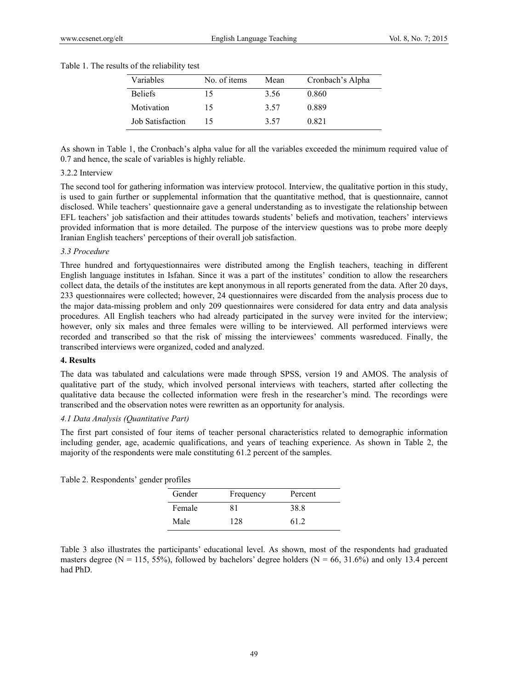| Variables        | No. of items | Mean | Cronbach's Alpha |
|------------------|--------------|------|------------------|
| <b>Beliefs</b>   | 15           | 3.56 | 0.860            |
| Motivation       | 15           | 3.57 | 0.889            |
| Job Satisfaction | 15           | 3.57 | 0.821            |

## Table 1. The results of the reliability test

As shown in Table 1, the Cronbach's alpha value for all the variables exceeded the minimum required value of 0.7 and hence, the scale of variables is highly reliable.

#### 3.2.2 Interview

The second tool for gathering information was interview protocol. Interview, the qualitative portion in this study, is used to gain further or supplemental information that the quantitative method, that is questionnaire, cannot disclosed. While teachers' questionnaire gave a general understanding as to investigate the relationship between EFL teachers' job satisfaction and their attitudes towards students' beliefs and motivation, teachers' interviews provided information that is more detailed. The purpose of the interview questions was to probe more deeply Iranian English teachers' perceptions of their overall job satisfaction.

#### *3.3 Procedure*

Three hundred and fortyquestionnaires were distributed among the English teachers, teaching in different English language institutes in Isfahan. Since it was a part of the institutes' condition to allow the researchers collect data, the details of the institutes are kept anonymous in all reports generated from the data. After 20 days, 233 questionnaires were collected; however, 24 questionnaires were discarded from the analysis process due to the major data-missing problem and only 209 questionnaires were considered for data entry and data analysis procedures. All English teachers who had already participated in the survey were invited for the interview; however, only six males and three females were willing to be interviewed. All performed interviews were recorded and transcribed so that the risk of missing the interviewees' comments wasreduced. Finally, the transcribed interviews were organized, coded and analyzed.

#### **4. Results**

The data was tabulated and calculations were made through SPSS, version 19 and AMOS. The analysis of qualitative part of the study, which involved personal interviews with teachers, started after collecting the qualitative data because the collected information were fresh in the researcher's mind. The recordings were transcribed and the observation notes were rewritten as an opportunity for analysis.

# *4.1 Data Analysis (Quantitative Part)*

The first part consisted of four items of teacher personal characteristics related to demographic information including gender, age, academic qualifications, and years of teaching experience. As shown in Table 2, the majority of the respondents were male constituting 61.2 percent of the samples.

| Gender | Frequency | Percent |  |
|--------|-----------|---------|--|
| Female | 81        | 38.8    |  |
| Male   | 128       | 612     |  |

Table 2. Respondents' gender profiles

Table 3 also illustrates the participants' educational level. As shown, most of the respondents had graduated masters degree ( $N = 115, 55\%$ ), followed by bachelors' degree holders ( $N = 66, 31.6\%$ ) and only 13.4 percent had PhD.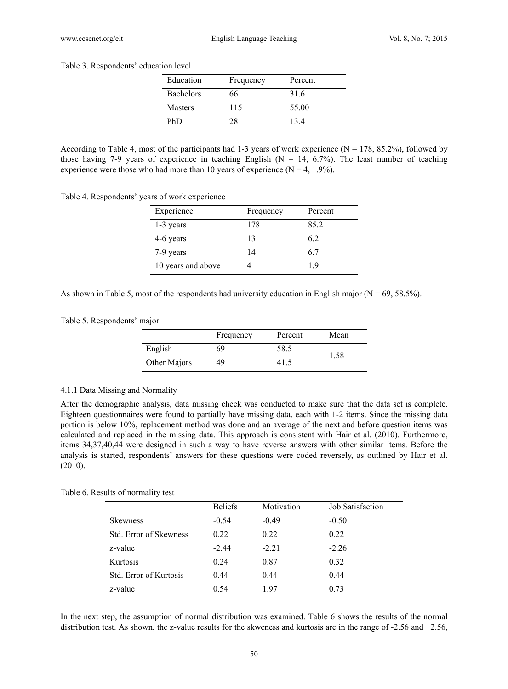Table 3. Respondents' education level

| Education        | Frequency | Percent |
|------------------|-----------|---------|
| <b>Bachelors</b> | 66        | 31.6    |
| <b>Masters</b>   | 115       | 55.00   |
| PhD              | 28        | 13.4    |

According to Table 4, most of the participants had 1-3 years of work experience ( $N = 178$ , 85.2%), followed by those having 7-9 years of experience in teaching English ( $N = 14, 6.7%$ ). The least number of teaching experience were those who had more than 10 years of experience  $(N = 4, 1.9\%)$ .

Table 4. Respondents' years of work experience

| Experience         | Frequency | Percent |
|--------------------|-----------|---------|
| $1-3$ years        | 178       | 85.2    |
| 4-6 years          | 13        | 62      |
| 7-9 years          | 14        | 6.7     |
| 10 years and above |           | 19      |

As shown in Table 5, most of the respondents had university education in English major ( $N = 69$ , 58.5%).

|  | Table 5. Respondents' major |  |
|--|-----------------------------|--|
|  |                             |  |

|              | Frequency | Percent | Mean |
|--------------|-----------|---------|------|
| English      | 69        | 58.5    | 1.58 |
| Other Majors | 49        | 41.5    |      |

#### 4.1.1 Data Missing and Normality

After the demographic analysis, data missing check was conducted to make sure that the data set is complete. Eighteen questionnaires were found to partially have missing data, each with 1-2 items. Since the missing data portion is below 10%, replacement method was done and an average of the next and before question items was calculated and replaced in the missing data. This approach is consistent with Hair et al. (2010). Furthermore, items 34,37,40,44 were designed in such a way to have reverse answers with other similar items. Before the analysis is started, respondents' answers for these questions were coded reversely, as outlined by Hair et al. (2010).

|                               | <b>Beliefs</b> | Motivation | <b>Job Satisfaction</b> |
|-------------------------------|----------------|------------|-------------------------|
| <b>Skewness</b>               | $-0.54$        | $-0.49$    | $-0.50$                 |
| <b>Std. Error of Skewness</b> | 0.22           | 0.22       | 0.22                    |
| z-value                       | $-2.44$        | $-2.21$    | $-2.26$                 |
| Kurtosis                      | 0.24           | 0.87       | 0.32                    |
| <b>Std.</b> Error of Kurtosis | 0.44           | 0.44       | 0.44                    |
| z-value                       | 0.54           | 197        | 0.73                    |

In the next step, the assumption of normal distribution was examined. Table 6 shows the results of the normal distribution test. As shown, the z-value results for the skweness and kurtosis are in the range of -2.56 and +2.56,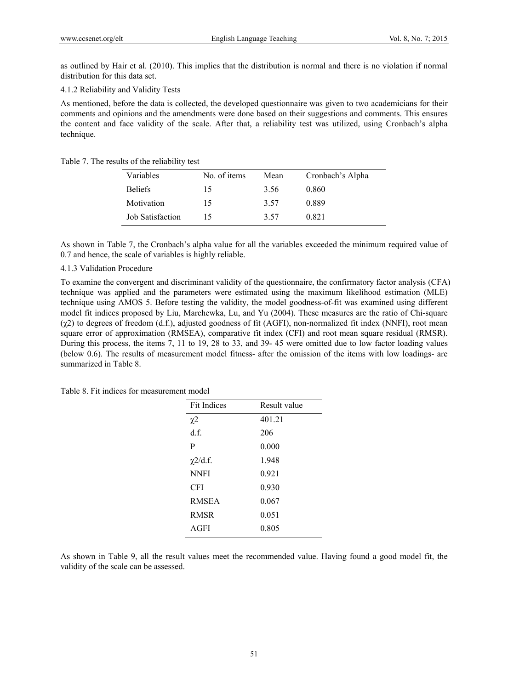as outlined by Hair et al. (2010). This implies that the distribution is normal and there is no violation if normal distribution for this data set.

# 4.1.2 Reliability and Validity Tests

As mentioned, before the data is collected, the developed questionnaire was given to two academicians for their comments and opinions and the amendments were done based on their suggestions and comments. This ensures the content and face validity of the scale. After that, a reliability test was utilized, using Cronbach's alpha technique.

Table 7. The results of the reliability test

| Variables               | No. of items | Mean | Cronbach's Alpha |
|-------------------------|--------------|------|------------------|
| <b>Beliefs</b>          | 15           | 3.56 | 0.860            |
| Motivation              | 15           | 3.57 | 0.889            |
| <b>Job Satisfaction</b> | 15           | 3.57 | 0.821            |

As shown in Table 7, the Cronbach's alpha value for all the variables exceeded the minimum required value of 0.7 and hence, the scale of variables is highly reliable.

# 4.1.3 Validation Procedure

To examine the convergent and discriminant validity of the questionnaire, the confirmatory factor analysis (CFA) technique was applied and the parameters were estimated using the maximum likelihood estimation (MLE) technique using AMOS 5. Before testing the validity, the model goodness-of-fit was examined using different model fit indices proposed by Liu, Marchewka, Lu, and Yu (2004). These measures are the ratio of Chi-square  $(\chi^2)$  to degrees of freedom (d.f.), adjusted goodness of fit (AGFI), non-normalized fit index (NNFI), root mean square error of approximation (RMSEA), comparative fit index (CFI) and root mean square residual (RMSR). During this process, the items 7, 11 to 19, 28 to 33, and 39- 45 were omitted due to low factor loading values (below 0.6). The results of measurement model fitness- after the omission of the items with low loadings- are summarized in Table 8.

Table 8. Fit indices for measurement model

| <b>Fit Indices</b>  | Result value |
|---------------------|--------------|
| $\chi$ <sup>2</sup> | 401.21       |
| d.f.                | 206          |
| P                   | 0.000        |
| $\chi$ 2/d.f.       | 1.948        |
| <b>NNFI</b>         | 0.921        |
| CFI                 | 0.930        |
| <b>RMSEA</b>        | 0.067        |
| <b>RMSR</b>         | 0.051        |
| AGFI                | 0.805        |

As shown in Table 9, all the result values meet the recommended value. Having found a good model fit, the validity of the scale can be assessed.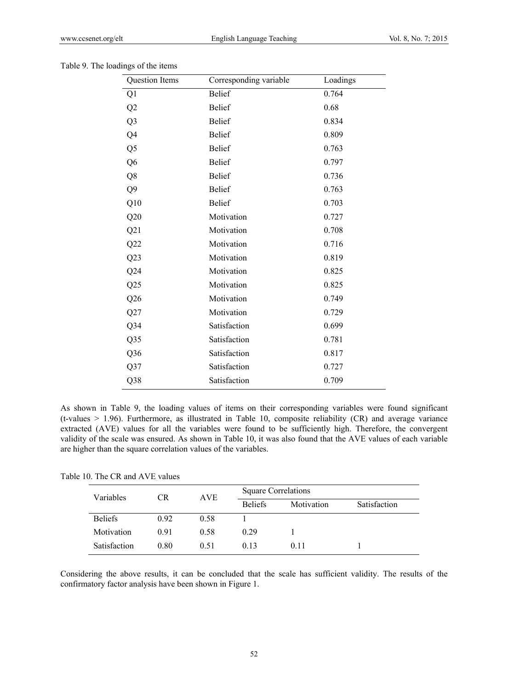| Question Items  | Corresponding variable | Loadings |
|-----------------|------------------------|----------|
| Q1              | <b>Belief</b>          | 0.764    |
| Q2              | <b>Belief</b>          | 0.68     |
| Q <sub>3</sub>  | <b>Belief</b>          | 0.834    |
| Q4              | <b>Belief</b>          | 0.809    |
| Q <sub>5</sub>  | <b>Belief</b>          | 0.763    |
| Q <sub>6</sub>  | <b>Belief</b>          | 0.797    |
| Q8              | <b>Belief</b>          | 0.736    |
| Q9              | <b>Belief</b>          | 0.763    |
| Q10             | <b>Belief</b>          | 0.703    |
| Q20             | Motivation             | 0.727    |
| Q21             | Motivation             | 0.708    |
| Q22             | Motivation             | 0.716    |
| Q23             | Motivation             | 0.819    |
| Q24             | Motivation             | 0.825    |
| Q25             | Motivation             | 0.825    |
| Q26             | Motivation             | 0.749    |
| Q27             | Motivation             | 0.729    |
| $Q$ 34          | Satisfaction           | 0.699    |
| Q <sub>35</sub> | Satisfaction           | 0.781    |
| Q <sub>36</sub> | Satisfaction           | 0.817    |
| Q37             | Satisfaction           | 0.727    |
| Q38             | Satisfaction           | 0.709    |

|  |  | Table 9. The loadings of the items |  |  |
|--|--|------------------------------------|--|--|
|--|--|------------------------------------|--|--|

As shown in Table 9, the loading values of items on their corresponding variables were found significant (t-values > 1.96). Furthermore, as illustrated in Table 10, composite reliability (CR) and average variance extracted (AVE) values for all the variables were found to be sufficiently high. Therefore, the convergent validity of the scale was ensured. As shown in Table 10, it was also found that the AVE values of each variable are higher than the square correlation values of the variables.

| Table 10. The CR and AVE values |  |  |  |
|---------------------------------|--|--|--|
|---------------------------------|--|--|--|

| Variables      | CR.  | <b>AVE</b> | <b>Square Correlations</b> |            |              |
|----------------|------|------------|----------------------------|------------|--------------|
|                |      |            | <b>Beliefs</b>             | Motivation | Satisfaction |
| <b>Beliefs</b> | 0.92 | 0.58       |                            |            |              |
| Motivation     | 0.91 | 0.58       | 0.29                       |            |              |
| Satisfaction   | 0.80 | 0.51       | 0.13                       | 0.11       |              |

Considering the above results, it can be concluded that the scale has sufficient validity. The results of the confirmatory factor analysis have been shown in Figure 1.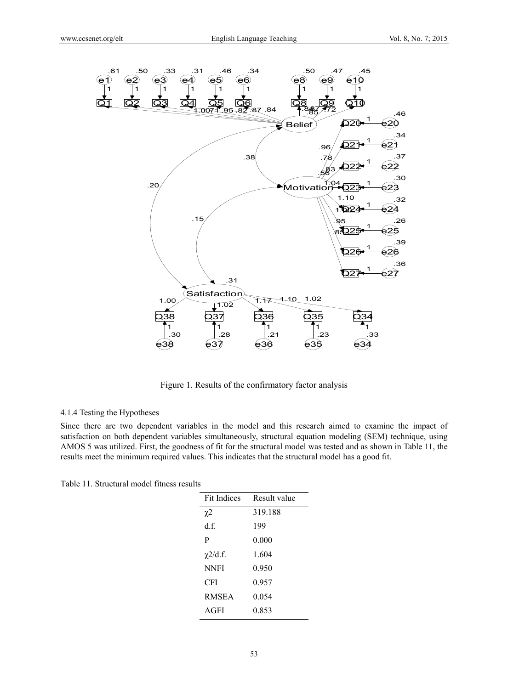



Figure 1. Results of the confirmatory factor analysis

# 4.1.4 Testing the Hypotheses

Since there are two dependent variables in the model and this research aimed to examine the impact of satisfaction on both dependent variables simultaneously, structural equation modeling (SEM) technique, using AMOS 5 was utilized. First, the goodness of fit for the structural model was tested and as shown in Table 11, the results meet the minimum required values. This indicates that the structural model has a good fit.

| Table 11. Structural model fitness results |  |  |
|--------------------------------------------|--|--|
|                                            |  |  |

| <b>Fit Indices</b> | Result value |
|--------------------|--------------|
| χ2                 | 319.188      |
| d.f.               | 199          |
| P                  | 0.000        |
| $\chi$ 2/d.f.      | 1.604        |
| <b>NNFI</b>        | 0.950        |
| CFI                | 0.957        |
| <b>RMSEA</b>       | 0.054        |
| AGFI               | 0.853        |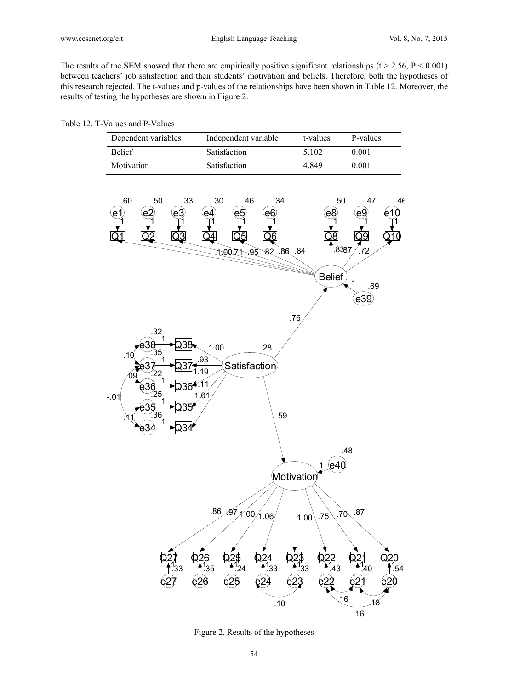The results of the SEM showed that there are empirically positive significant relationships (t > 2.56, P < 0.001) between teachers' job satisfaction and their students' motivation and beliefs. Therefore, both the hypotheses of this research rejected. The t-values and p-values of the relationships have been shown in Table 12. Moreover, the results of testing the hypotheses are shown in Figure 2.

|  |  | Table 12. T-Values and P-Values |
|--|--|---------------------------------|
|--|--|---------------------------------|

| Dependent variables | Independent variable | t-values | P-values |
|---------------------|----------------------|----------|----------|
| <b>Belief</b>       | Satisfaction         | 5 102    | 0.001    |
| Motivation          | Satisfaction         | 4 8 4 9  | 0.001    |



Figure 2. Results of the hypotheses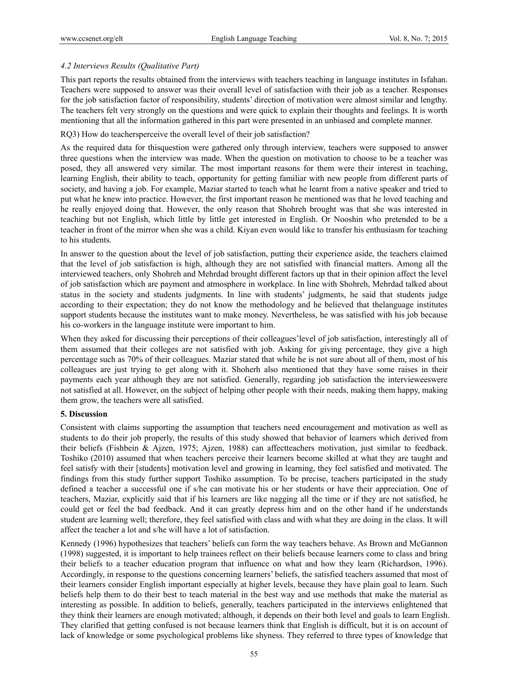# *4.2 Interviews Results (Qualitative Part)*

This part reports the results obtained from the interviews with teachers teaching in language institutes in Isfahan. Teachers were supposed to answer was their overall level of satisfaction with their job as a teacher. Responses for the job satisfaction factor of responsibility, students' direction of motivation were almost similar and lengthy. The teachers felt very strongly on the questions and were quick to explain their thoughts and feelings. It is worth mentioning that all the information gathered in this part were presented in an unbiased and complete manner.

RQ3) How do teachersperceive the overall level of their job satisfaction?

As the required data for thisquestion were gathered only through interview, teachers were supposed to answer three questions when the interview was made. When the question on motivation to choose to be a teacher was posed, they all answered very similar. The most important reasons for them were their interest in teaching, learning English, their ability to teach, opportunity for getting familiar with new people from different parts of society, and having a job. For example, Maziar started to teach what he learnt from a native speaker and tried to put what he knew into practice. However, the first important reason he mentioned was that he loved teaching and he really enjoyed doing that. However, the only reason that Shohreh brought was that she was interested in teaching but not English, which little by little get interested in English. Or Nooshin who pretended to be a teacher in front of the mirror when she was a child. Kiyan even would like to transfer his enthusiasm for teaching to his students.

In answer to the question about the level of job satisfaction, putting their experience aside, the teachers claimed that the level of job satisfaction is high, although they are not satisfied with financial matters. Among all the interviewed teachers, only Shohreh and Mehrdad brought different factors up that in their opinion affect the level of job satisfaction which are payment and atmosphere in workplace. In line with Shohreh, Mehrdad talked about status in the society and students judgments. In line with students' judgments, he said that students judge according to their expectation; they do not know the methodology and he believed that thelanguage institutes support students because the institutes want to make money. Nevertheless, he was satisfied with his job because his co-workers in the language institute were important to him.

When they asked for discussing their perceptions of their colleagues'level of job satisfaction, interestingly all of them assumed that their colleges are not satisfied with job. Asking for giving percentage, they give a high percentage such as 70% of their colleagues. Maziar stated that while he is not sure about all of them, most of his colleagues are just trying to get along with it. Shoherh also mentioned that they have some raises in their payments each year although they are not satisfied. Generally, regarding job satisfaction the intervieweeswere not satisfied at all. However, on the subject of helping other people with their needs, making them happy, making them grow, the teachers were all satisfied.

## **5. Discussion**

Consistent with claims supporting the assumption that teachers need encouragement and motivation as well as students to do their job properly, the results of this study showed that behavior of learners which derived from their beliefs (Fishbein & Ajzen, 1975; Ajzen, 1988) can affectteachers motivation, just similar to feedback. Toshiko (2010) assumed that when teachers perceive their learners become skilled at what they are taught and feel satisfy with their [students] motivation level and growing in learning, they feel satisfied and motivated. The findings from this study further support Toshiko assumption. To be precise, teachers participated in the study defined a teacher a successful one if s/he can motivate his or her students or have their appreciation. One of teachers, Maziar, explicitly said that if his learners are like nagging all the time or if they are not satisfied, he could get or feel the bad feedback. And it can greatly depress him and on the other hand if he understands student are learning well; therefore, they feel satisfied with class and with what they are doing in the class. It will affect the teacher a lot and s/he will have a lot of satisfaction.

Kennedy (1996) hypothesizes that teachers' beliefs can form the way teachers behave. As Brown and McGannon (1998) suggested, it is important to help trainees reflect on their beliefs because learners come to class and bring their beliefs to a teacher education program that influence on what and how they learn (Richardson, 1996). Accordingly, in response to the questions concerning learners' beliefs, the satisfied teachers assumed that most of their learners consider English important especially at higher levels, because they have plain goal to learn. Such beliefs help them to do their best to teach material in the best way and use methods that make the material as interesting as possible. In addition to beliefs, generally, teachers participated in the interviews enlightened that they think their learners are enough motivated; although, it depends on their both level and goals to learn English. They clarified that getting confused is not because learners think that English is difficult, but it is on account of lack of knowledge or some psychological problems like shyness. They referred to three types of knowledge that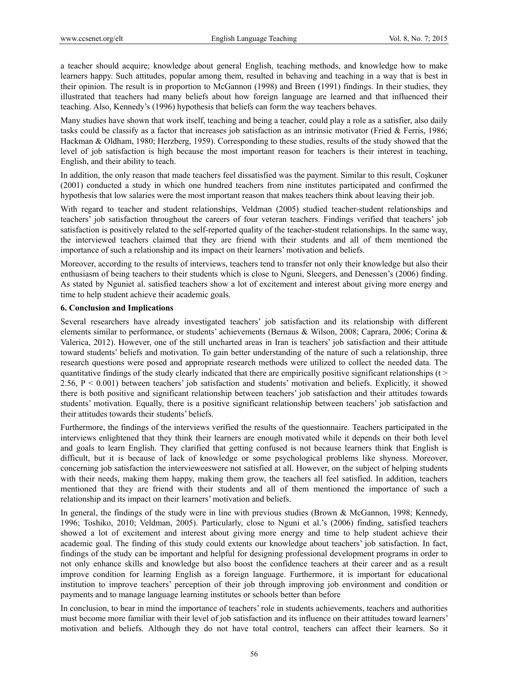a teacher should acquire; knowledge about general English, teaching methods, and knowledge how to make learners happy. Such attitudes, popular among them, resulted in behaving and teaching in a way that is best in their opinion. The result is in proportion to McGannon (1998) and Breen (1991) findings. In their studies, they illustrated that teachers had many beliefs about how foreign language are learned and that influenced their teaching. Also, Kennedy's (1996) hypothesis that beliefs can form the way teachers behaves.

Many studies have shown that work itself, teaching and being a teacher, could play a role as a satisfier, also daily tasks could be classify as a factor that increases job satisfaction as an intrinsic motivator (Fried & Ferris, 1986; Hackman & Oldham, 1980; Herzberg, 1959). Corresponding to these studies, results of the study showed that the level of job satisfaction is high because the most important reason for teachers is their interest in teaching, English, and their ability to teach.

In addition, the only reason that made teachers feel dissatisfied was the payment. Similar to this result, Coşkuner (2001) conducted a study in which one hundred teachers from nine institutes participated and confirmed the hypothesis that low salaries were the most important reason that makes teachers think about leaving their job.

With regard to teacher and student relationships, Veldman (2005) studied teacher-student relationships and teachers' job satisfaction throughout the careers of four veteran teachers. Findings verified that teachers' job satisfaction is positively related to the self-reported quality of the teacher-student relationships. In the same way, the interviewed teachers claimed that they are friend with their students and all of them mentioned the importance of such a relationship and its impact on their learners' motivation and beliefs.

Moreover, according to the results of interviews, teachers tend to transfer not only their knowledge but also their enthusiasm of being teachers to their students which is close to Nguni, Sleegers, and Denessen's (2006) finding. As stated by Nguniet al. satisfied teachers show a lot of excitement and interest about giving more energy and time to help student achieve their academic goals.

#### **6. Conclusion and Implications**

Several researchers have already investigated teachers' job satisfaction and its relationship with different elements similar to performance, or students' achievements (Bernaus & Wilson, 2008; Caprara, 2006; Corina & Valerica, 2012). However, one of the still uncharted areas in Iran is teachers' job satisfaction and their attitude toward students' beliefs and motivation. To gain better understanding of the nature of such a relationship, three research questions were posed and appropriate research methods were utilized to collect the needed data. The quantitative findings of the study clearly indicated that there are empirically positive significant relationships  $(t$ 2.56, P < 0.001) between teachers' job satisfaction and students' motivation and beliefs. Explicitly, it showed there is both positive and significant relationship between teachers' job satisfaction and their attitudes towards students' motivation. Equally, there is a positive significant relationship between teachers' job satisfaction and their attitudes towards their students' beliefs.

Furthermore, the findings of the interviews verified the results of the questionnaire. Teachers participated in the interviews enlightened that they think their learners are enough motivated while it depends on their both level and goals to learn English. They clarified that getting confused is not because learners think that English is difficult, but it is because of lack of knowledge or some psychological problems like shyness. Moreover, concerning job satisfaction the intervieweeswere not satisfied at all. However, on the subject of helping students with their needs, making them happy, making them grow, the teachers all feel satisfied. In addition, teachers mentioned that they are friend with their students and all of them mentioned the importance of such a relationship and its impact on their learners' motivation and beliefs.

In general, the findings of the study were in line with previous studies (Brown & McGannon, 1998; Kennedy, 1996; Toshiko, 2010; Veldman, 2005). Particularly, close to Nguni et al.'s (2006) finding, satisfied teachers showed a lot of excitement and interest about giving more energy and time to help student achieve their academic goal. The finding of this study could extents our knowledge about teachers' job satisfaction. In fact, findings of the study can be important and helpful for designing professional development programs in order to not only enhance skills and knowledge but also boost the confidence teachers at their career and as a result improve condition for learning English as a foreign language. Furthermore, it is important for educational institution to improve teachers' perception of their job through improving job environment and condition or payments and to manage language learning institutes or schools better than before

In conclusion, to bear in mind the importance of teachers' role in students achievements, teachers and authorities must become more familiar with their level of job satisfaction and its influence on their attitudes toward learners' motivation and beliefs. Although they do not have total control, teachers can affect their learners. So it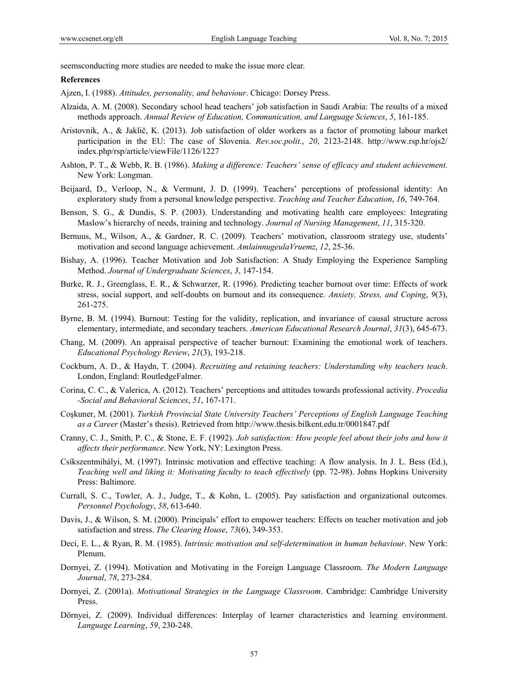seemsconducting more studies are needed to make the issue more clear.

#### **References**

- Ajzen, I. (1988). *Attitudes, personality, and behaviour*. Chicago: Dorsey Press.
- Alzaida, A. M. (2008). Secondary school head teachers' job satisfaction in Saudi Arabia: The results of a mixed methods approach. *Annual Review of Education, Communication, and Language Sciences*, *5*, 161-185.
- Aristovnik, A., & Jaklič, K. (2013). Job satisfaction of older workers as a factor of promoting labour market participation in the EU: The case of Slovenia. *Rev.soc.polit.*, *20*, 2123-2148. http://www.rsp.hr/ojs2/ index.php/rsp/article/viewFile/1126/1227
- Ashton, P. T., & Webb, R. B. (1986). *Making a difference: Teachers' sense of efficacy and student achievement*. New York: Longman.
- Beijaard, D., Verloop, N., & Vermunt, J. D. (1999). Teachers' perceptions of professional identity: An exploratory study from a personal knowledge perspective. *Teaching and Teacher Education*, *16*, 749-764.
- Benson, S. G., & Dundis, S. P. (2003). Understanding and motivating health care employees: Integrating Maslow's hierarchy of needs, training and technology. *Journal of Nursing Management*, *11*, 315-320.
- Bernuus, M., Wilson, A., & Gardner, R. C. (2009). Teachers' motivation, classroom strategy use, students' motivation and second language achievement. *AmlainnugeulaVruemz*, *12*, 25-36.
- Bishay, A. (1996). Teacher Motivation and Job Satisfaction: A Study Employing the Experience Sampling Method. *Journal of Undergraduate Sciences*, *3*, 147-154.
- Burke, R. J., Greenglass, E. R., & Schwarzer, R. (1996). Predicting teacher burnout over time: Effects of work stress, social support, and self-doubts on burnout and its consequence. *Anxiety, Stress, and Coping*, *9*(3), 261-275.
- Byrne, B. M. (1994). Burnout: Testing for the validity, replication, and invariance of causal structure across elementary, intermediate, and secondary teachers. *American Educational Research Journal*, *31*(3), 645-673.
- Chang, M. (2009). An appraisal perspective of teacher burnout: Examining the emotional work of teachers. *Educational Psychology Review*, *21*(3), 193-218.
- Cockburn, A. D., & Haydn, T. (2004). *Recruiting and retaining teachers: Understanding why teachers teach*. London, England: RoutledgeFalmer.
- Corina, C. C., & Valerica, A. (2012). Teachers' perceptions and attitudes towards professional activity. *Procedia -Social and Behavioral Sciences*, *51*, 167-171.
- Coşkuner, M. (2001). *Turkish Provincial State University Teachers' Perceptions of English Language Teaching as a Career* (Master's thesis). Retrieved from http://www.thesis.bilkent.edu.tr/0001847.pdf
- Cranny, C. J., Smith, P. C., & Stone, E. F. (1992). *Job satisfaction: How people feel about their jobs and how it affects their performance*. New York, NY: Lexington Press.
- Csíkszentmihályi, M. (1997). Intrinsic motivation and effective teaching: A flow analysis. In J. L. Bess (Ed.), *Teaching well and liking it: Motivating faculty to teach effectively* (pp. 72-98). Johns Hopkins University Press: Baltimore.
- Currall, S. C., Towler, A. J., Judge, T., & Kohn, L. (2005). Pay satisfaction and organizational outcomes. *Personnel Psychology*, *58*, 613-640.
- Davis, J., & Wilson, S. M. (2000). Principals' effort to empower teachers: Effects on teacher motivation and job satisfaction and stress. *The Clearing House*, *73*(6), 349-353.
- Deci, E. L., & Ryan, R. M. (1985). *Intrinsic motivation and self-determination in human behaviour*. New York: Plenum.
- Dornyei, Z. (1994). Motivation and Motivating in the Foreign Language Classroom. *The Modern Language Journal*, *78*, 273-284.
- Dornyei, Z. (2001a). *Motivational Strategies in the Language Classroom*. Cambridge: Cambridge University Press.
- Dörnyei, Z. (2009). Individual differences: Interplay of learner characteristics and learning environment. *Language Learning*, *59*, 230-248.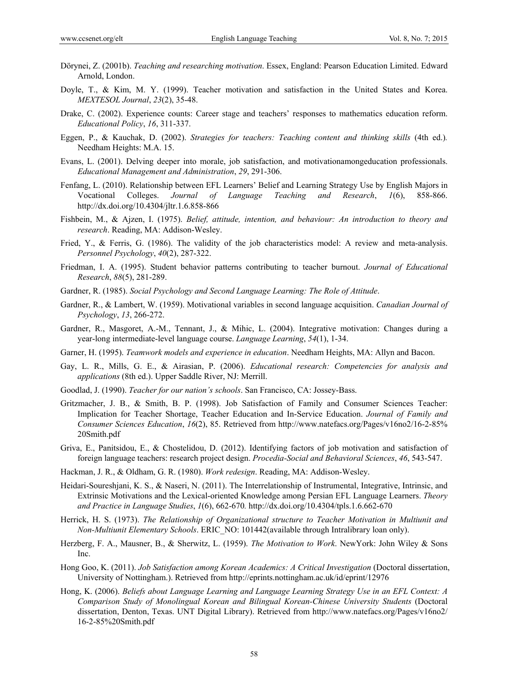- Dörynei, Z. (2001b). *Teaching and researching motivation*. Essex, England: Pearson Education Limited. Edward Arnold, London.
- Doyle, T., & Kim, M. Y. (1999). Teacher motivation and satisfaction in the United States and Korea. *MEXTESOL Journal*, *23*(2), 35-48.
- Drake, C. (2002). Experience counts: Career stage and teachers' responses to mathematics education reform. *Educational Policy*, *16*, 311-337.
- Eggen, P., & Kauchak, D. (2002). *Strategies for teachers: Teaching content and thinking skills* (4th ed.). Needham Heights: M.A. 15.
- Evans, L. (2001). Delving deeper into morale, job satisfaction, and motivationamongeducation professionals. *Educational Management and Administration*, *29*, 291-306.
- Fenfang, L. (2010). Relationship between EFL Learners' Belief and Learning Strategy Use by English Majors in Vocational Colleges. *Journal of Language Teaching and Research*, *1*(6), 858-866. http://dx.doi.org/10.4304/jltr.1.6.858-866
- Fishbein, M., & Ajzen, I. (1975). *Belief, attitude, intention, and behaviour: An introduction to theory and research*. Reading, MA: Addison-Wesley.
- Fried, Y., & Ferris, G. (1986). The validity of the job characteristics model: A review and meta-analysis. *Personnel Psychology*, *40*(2), 287-322.
- Friedman, I. A. (1995). Student behavior patterns contributing to teacher burnout. *Journal of Educational Research*, *88*(5), 281-289.
- Gardner, R. (1985). *Social Psychology and Second Language Learning: The Role of Attitude*.
- Gardner, R., & Lambert, W. (1959). Motivational variables in second language acquisition. *Canadian Journal of Psychology*, *13*, 266-272.
- Gardner, R., Masgoret, A.-M., Tennant, J., & Mihic, L. (2004). Integrative motivation: Changes during a year-long intermediate-level language course. *Language Learning*, *54*(1), 1-34.
- Garner, H. (1995). *Teamwork models and experience in education*. Needham Heights, MA: Allyn and Bacon.
- Gay, L. R., Mills, G. E., & Airasian, P. (2006). *Educational research: Competencies for analysis and applications* (8th ed.). Upper Saddle River, NJ: Merrill.
- Goodlad, J. (1990). *Teacher for our nation's schools*. San Francisco, CA: Jossey-Bass.
- Gritzmacher, J. B., & Smith, B. P. (1998). Job Satisfaction of Family and Consumer Sciences Teacher: Implication for Teacher Shortage, Teacher Education and In-Service Education. *Journal of Family and Consumer Sciences Education*, *16*(2), 85. Retrieved from http://www.natefacs.org/Pages/v16no2/16-2-85% 20Smith.pdf
- Griva, E., Panitsidou, E., & Chostelidou, D. (2012). Identifying factors of job motivation and satisfaction of foreign language teachers: research project design. *Procedia-Social and Behavioral Sciences*, *46*, 543-547.
- Hackman, J. R., & Oldham, G. R. (1980). *Work redesign*. Reading, MA: Addison-Wesley.
- Heidari-Soureshjani, K. S., & Naseri, N. (2011). The Interrelationship of Instrumental, Integrative, Intrinsic, and Extrinsic Motivations and the Lexical-oriented Knowledge among Persian EFL Language Learners. *Theory and Practice in Language Studies*, *1*(6), 662-670*.* http://dx.doi.org/10.4304/tpls.1.6.662-670
- Herrick, H. S. (1973). *The Relationship of Organizational structure to Teacher Motivation in Multiunit and Non-Multiunit Elementary Schools*. ERIC\_NO: 101442(available through Intralibrary loan only).
- Herzberg, F. A., Mausner, B., & Sherwitz, L. (1959). *The Motivation to Work*. NewYork: John Wiley & Sons Inc.
- Hong Goo, K. (2011). *Job Satisfaction among Korean Academics: A Critical Investigation* (Doctoral dissertation, University of Nottingham.). Retrieved from http://eprints.nottingham.ac.uk/id/eprint/12976
- Hong, K. (2006). *Beliefs about Language Learning and Language Learning Strategy Use in an EFL Context: A Comparison Study of Monolingual Korean and Bilingual Korean-Chinese University Students* (Doctoral dissertation, Denton, Texas. UNT Digital Library). Retrieved from http://www.natefacs.org/Pages/v16no2/ 16-2-85%20Smith.pdf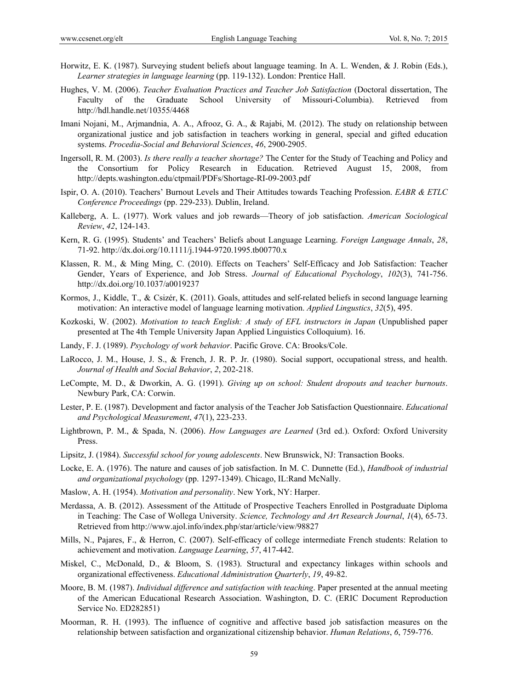- Horwitz, E. K. (1987). Surveying student beliefs about language teaming. In A. L. Wenden, & J. Robin (Eds.), *Learner strategies in language learning* (pp. 119-132). London: Prentice Hall.
- Hughes, V. M. (2006). *Teacher Evaluation Practices and Teacher Job Satisfaction* (Doctoral dissertation, The Faculty of the Graduate School University of Missouri-Columbia). Retrieved from http://hdl.handle.net/10355/4468
- Imani Nojani, M., Arjmandnia, A. A., Afrooz, G. A., & Rajabi, M. (2012). The study on relationship between organizational justice and job satisfaction in teachers working in general, special and gifted education systems. *Procedia-Social and Behavioral Sciences*, *46*, 2900-2905.
- Ingersoll, R. M. (2003). *Is there really a teacher shortage?* The Center for the Study of Teaching and Policy and the Consortium for Policy Research in Education. Retrieved August 15, 2008, from http://depts.washington.edu/ctpmail/PDFs/Shortage-RI-09-2003.pdf
- Ispir, O. A. (2010). Teachers' Burnout Levels and Their Attitudes towards Teaching Profession. *EABR & ETLC Conference Proceedings* (pp. 229-233). Dublin, Ireland.
- Kalleberg, A. L. (1977). Work values and job rewards—Theory of job satisfaction. *American Sociological Review*, *42*, 124-143.
- Kern, R. G. (1995). Students' and Teachers' Beliefs about Language Learning. *Foreign Language Annals*, *28*, 71-92. http://dx.doi.org/10.1111/j.1944-9720.1995.tb00770.x
- Klassen, R. M., & Ming Ming, C. (2010). Effects on Teachers' Self-Efficacy and Job Satisfaction: Teacher Gender, Years of Experience, and Job Stress. *Journal of Educational Psychology*, *102*(3), 741-756. http://dx.doi.org/10.1037/a0019237
- Kormos, J., Kiddle, T., & Csizér, K. (2011). Goals, attitudes and self-related beliefs in second language learning motivation: An interactive model of language learning motivation. *Applied Lingustics*, *32*(5), 495.
- Kozkoski, W. (2002). *Motivation to teach English: A study of EFL instructors in Japan* (Unpublished paper presented at The 4th Temple University Japan Applied Linguistics Colloquium). 16.
- Landy, F. J. (1989). *Psychology of work behavior*. Pacific Grove. CA: Brooks/Cole.
- LaRocco, J. M., House, J. S., & French, J. R. P. Jr. (1980). Social support, occupational stress, and health. *Journal of Health and Social Behavior*, *2*, 202-218.
- LeCompte, M. D., & Dworkin, A. G. (1991). *Giving up on school: Student dropouts and teacher burnouts*. Newbury Park, CA: Corwin.
- Lester, P. E. (1987). Development and factor analysis of the Teacher Job Satisfaction Questionnaire. *Educational and Psychological Measurement*, *47*(1), 223-233.
- Lightbrown, P. M., & Spada, N. (2006). *How Languages are Learned* (3rd ed.). Oxford: Oxford University Press.
- Lipsitz, J. (1984). *Successful school for young adolescents*. New Brunswick, NJ: Transaction Books.
- Locke, E. A. (1976). The nature and causes of job satisfaction. In M. C. Dunnette (Ed.), *Handbook of industrial and organizational psychology* (pp. 1297-1349). Chicago, IL:Rand McNally.
- Maslow, A. H. (1954). *Motivation and personality*. New York, NY: Harper.
- Merdassa, A. B. (2012). Assessment of the Attitude of Prospective Teachers Enrolled in Postgraduate Diploma in Teaching: The Case of Wollega University. *Science, Technology and Art Research Journal*, *1*(4), 65-73. Retrieved from http://www.ajol.info/index.php/star/article/view/98827
- Mills, N., Pajares, F., & Herron, C. (2007). Self-efficacy of college intermediate French students: Relation to achievement and motivation. *Language Learning*, *57*, 417-442.
- Miskel, C., McDonald, D., & Bloom, S. (1983). Structural and expectancy linkages within schools and organizational effectiveness. *Educational Administration Quarterly*, *19*, 49-82.
- Moore, B. M. (1987). *Individual difference and satisfaction with teaching*. Paper presented at the annual meeting of the American Educational Research Association. Washington, D. C. (ERIC Document Reproduction Service No. ED282851)
- Moorman, R. H. (1993). The influence of cognitive and affective based job satisfaction measures on the relationship between satisfaction and organizational citizenship behavior. *Human Relations*, *6*, 759-776.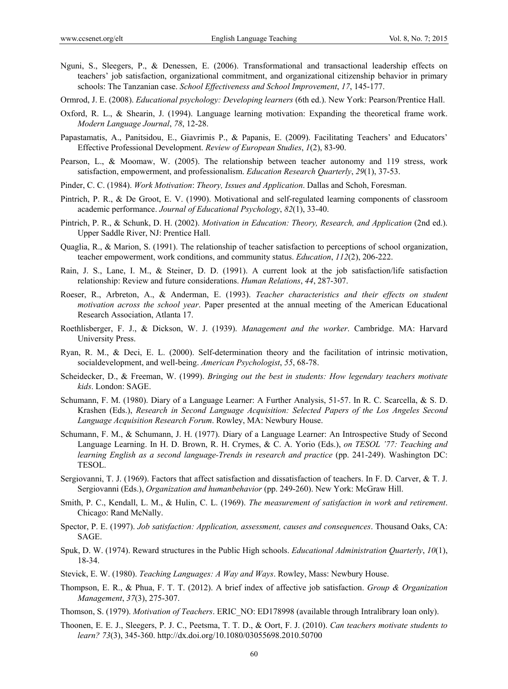- Nguni, S., Sleegers, P., & Denessen, E. (2006). Transformational and transactional leadership effects on teachers' job satisfaction, organizational commitment, and organizational citizenship behavior in primary schools: The Tanzanian case. *School Effectiveness and School Improvement*, *17*, 145-177.
- Ormrod, J. E. (2008). *Educational psychology: Developing learners* (6th ed.). New York: Pearson/Prentice Hall.
- Oxford, R. L., & Shearin, J. (1994). Language learning motivation: Expanding the theoretical frame work. *Modern Language Journal*, *78*, 12-28.
- Papastamatis, A., Panitsidou, E., Giavrimis P., & Papanis, E. (2009). Facilitating Teachers' and Educators' Effective Professional Development. *Review of European Studies*, *1*(2), 83-90.
- Pearson, L., & Moomaw, W. (2005). The relationship between teacher autonomy and 119 stress, work satisfaction, empowerment, and professionalism. *Education Research Quarterly*, *29*(1), 37-53.
- Pinder, C. C. (1984). *Work Motivation*: *Theory, Issues and Application*. Dallas and Schoh, Foresman.
- Pintrich, P. R., & De Groot, E. V. (1990). Motivational and self-regulated learning components of classroom academic performance. *Journal of Educational Psychology*, *82*(1), 33-40.
- Pintrich, P. R., & Schunk, D. H. (2002). *Motivation in Education: Theory, Research, and Application* (2nd ed.). Upper Saddle River, NJ: Prentice Hall.
- Quaglia, R., & Marion, S. (1991). The relationship of teacher satisfaction to perceptions of school organization, teacher empowerment, work conditions, and community status. *Education*, *112*(2), 206-222.
- Rain, J. S., Lane, I. M., & Steiner, D. D. (1991). A current look at the job satisfaction/life satisfaction relationship: Review and future considerations. *Human Relations*, *44*, 287-307.
- Roeser, R., Arbreton, A., & Anderman, E. (1993). *Teacher characteristics and their effects on student motivation across the school year*. Paper presented at the annual meeting of the American Educational Research Association, Atlanta 17.
- Roethlisberger, F. J., & Dickson, W. J. (1939). *Management and the worker*. Cambridge. MA: Harvard University Press.
- Ryan, R. M., & Deci, E. L. (2000). Self-determination theory and the facilitation of intrinsic motivation, socialdevelopment, and well-being. *American Psychologist*, *55*, 68-78.
- Scheidecker, D., & Freeman, W. (1999). *Bringing out the best in students: How legendary teachers motivate kids*. London: SAGE.
- Schumann, F. M. (1980). Diary of a Language Learner: A Further Analysis, 51-57. In R. C. Scarcella, & S. D. Krashen (Eds.), *Research in Second Language Acquisition: Selected Papers of the Los Angeles Second Language Acquisition Research Forum*. Rowley, MA: Newbury House.
- Schumann, F. M., & Schumann, J. H. (1977). Diary of a Language Learner: An Introspective Study of Second Language Learning. In H. D. Brown, R. H. Crymes, & C. A. Yorio (Eds.), *on TESOL '77: Teaching and learning English as a second language-Trends in research and practice* (pp. 241-249). Washington DC: TESOL.
- Sergiovanni, T. J. (1969). Factors that affect satisfaction and dissatisfaction of teachers. In F. D. Carver, & T. J. Sergiovanni (Eds.), *Organization and humanbehavior* (pp. 249-260). New York: McGraw Hill.
- Smith, P. C., Kendall, L. M., & Hulin, C. L. (1969). *The measurement of satisfaction in work and retirement*. Chicago: Rand McNally.
- Spector, P. E. (1997). *Job satisfaction: Application, assessment, causes and consequences*. Thousand Oaks, CA: SAGE.
- Spuk, D. W. (1974). Reward structures in the Public High schools. *Educational Administration Quarterly*, *10*(1), 18-34.
- Stevick, E. W. (1980). *Teaching Languages: A Way and Ways*. Rowley, Mass: Newbury House.
- Thompson, E. R., & Phua, F. T. T. (2012). A brief index of affective job satisfaction. *Group & Organization Management*, *37*(3), 275-307.
- Thomson, S. (1979). *Motivation of Teachers*. ERIC\_NO: ED178998 (available through Intralibrary loan only).
- Thoonen, E. E. J., Sleegers, P. J. C., Peetsma, T. T. D., & Oort, F. J. (2010). *Can teachers motivate students to learn? 73*(3), 345-360. http://dx.doi.org/10.1080/03055698.2010.50700